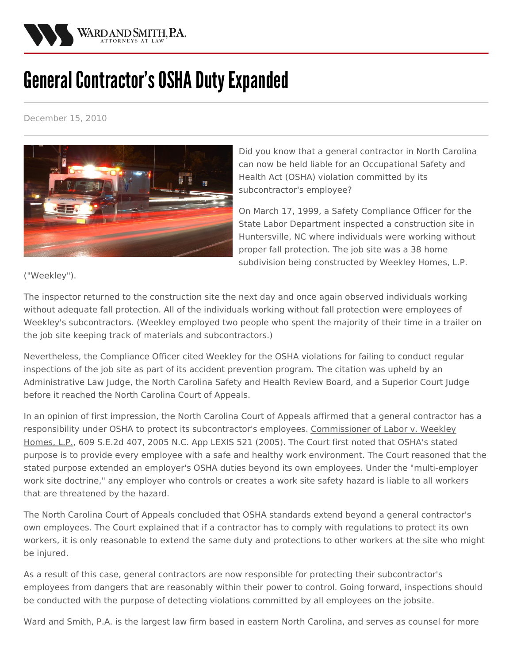

## **General Contractor's OSHA Duty Expanded**

December 15, 2010



Did you know that a general contractor in North Carolina can now be held liable for an Occupational Safety and Health Act (OSHA) violation committed by its subcontractor's employee?

On March 17, 1999, a Safety Compliance Officer for the State Labor Department inspected a construction site in Huntersville, NC where individuals were working without proper fall protection. The job site was a 38 home subdivision being constructed by Weekley Homes, L.P.

("Weekley").

The inspector returned to the construction site the next day and once again observed individuals working without adequate fall protection. All of the individuals working without fall protection were employees of Weekley's subcontractors. (Weekley employed two people who spent the majority of their time in a trailer on the job site keeping track of materials and subcontractors.)

Nevertheless, the Compliance Officer cited Weekley for the OSHA violations for failing to conduct regular inspections of the job site as part of its accident prevention program. The citation was upheld by an Administrative Law Judge, the North Carolina Safety and Health Review Board, and a Superior Court Judge before it reached the North Carolina Court of Appeals.

In an opinion of first impression, the North Carolina Court of Appeals affirmed that a general contractor has a responsibility under OSHA to protect its subcontractor's employees. Commissioner of Labor v. Weekley Homes, L.P., 609 S.E.2d 407, 2005 N.C. App LEXIS 521 (2005). The Court first noted that OSHA's stated purpose is to provide every employee with a safe and healthy work environment. The Court reasoned that the stated purpose extended an employer's OSHA duties beyond its own employees. Under the "multi-employer work site doctrine," any employer who controls or creates a work site safety hazard is liable to all workers that are threatened by the hazard.

The North Carolina Court of Appeals concluded that OSHA standards extend beyond a general contractor's own employees. The Court explained that if a contractor has to comply with regulations to protect its own workers, it is only reasonable to extend the same duty and protections to other workers at the site who might be injured.

As a result of this case, general contractors are now responsible for protecting their subcontractor's employees from dangers that are reasonably within their power to control. Going forward, inspections should be conducted with the purpose of detecting violations committed by all employees on the jobsite.

Ward and Smith, P.A. is the largest law firm based in eastern North Carolina, and serves as counsel for more